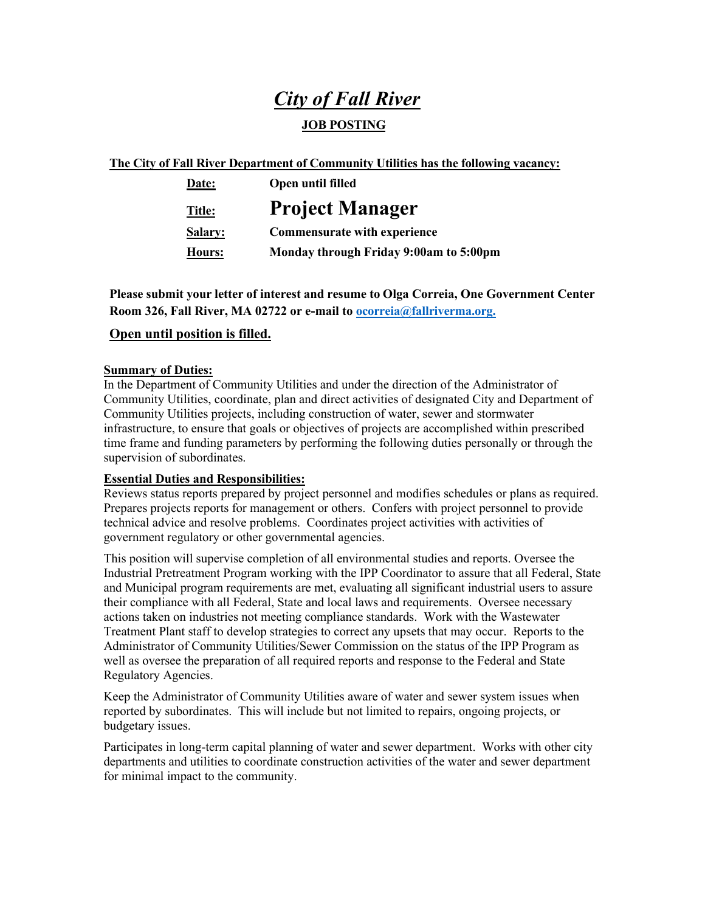# *City of Fall River*

## **JOB POSTING**

## **The City of Fall River Department of Community Utilities has the following vacancy:**

| Date:          | Open until filled                      |
|----------------|----------------------------------------|
| Title:         | <b>Project Manager</b>                 |
| <b>Salary:</b> | <b>Commensurate with experience</b>    |
| Hours:         | Monday through Friday 9:00am to 5:00pm |

**Please submit your letter of interest and resume to Olga Correia, One Government Center Room 326, Fall River, MA 02722 or e-mail to [ocorreia@fallriverma.org.](mailto:ocorreia@fallriverma.org.)**

## **Open until position is filled.**

### **Summary of Duties:**

In the Department of Community Utilities and under the direction of the Administrator of Community Utilities, coordinate, plan and direct activities of designated City and Department of Community Utilities projects, including construction of water, sewer and stormwater infrastructure, to ensure that goals or objectives of projects are accomplished within prescribed time frame and funding parameters by performing the following duties personally or through the supervision of subordinates.

## **Essential Duties and Responsibilities:**

Reviews status reports prepared by project personnel and modifies schedules or plans as required. Prepares projects reports for management or others. Confers with project personnel to provide technical advice and resolve problems. Coordinates project activities with activities of government regulatory or other governmental agencies.

This position will supervise completion of all environmental studies and reports. Oversee the Industrial Pretreatment Program working with the IPP Coordinator to assure that all Federal, State and Municipal program requirements are met, evaluating all significant industrial users to assure their compliance with all Federal, State and local laws and requirements. Oversee necessary actions taken on industries not meeting compliance standards. Work with the Wastewater Treatment Plant staff to develop strategies to correct any upsets that may occur. Reports to the Administrator of Community Utilities/Sewer Commission on the status of the IPP Program as well as oversee the preparation of all required reports and response to the Federal and State Regulatory Agencies.

Keep the Administrator of Community Utilities aware of water and sewer system issues when reported by subordinates. This will include but not limited to repairs, ongoing projects, or budgetary issues.

Participates in long-term capital planning of water and sewer department. Works with other city departments and utilities to coordinate construction activities of the water and sewer department for minimal impact to the community.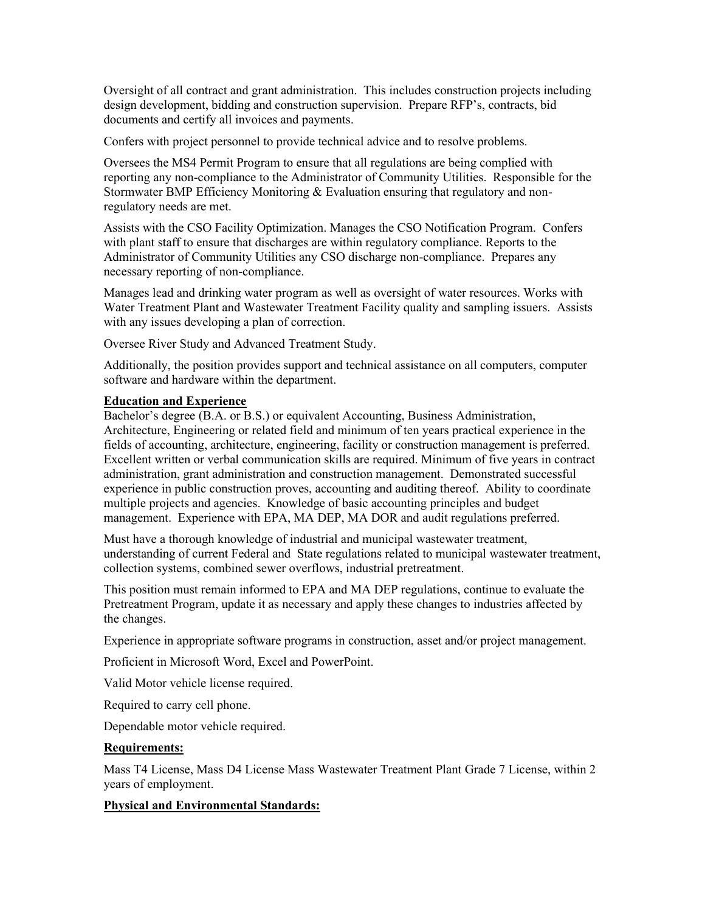Oversight of all contract and grant administration. This includes construction projects including design development, bidding and construction supervision. Prepare RFP's, contracts, bid documents and certify all invoices and payments.

Confers with project personnel to provide technical advice and to resolve problems.

Oversees the MS4 Permit Program to ensure that all regulations are being complied with reporting any non-compliance to the Administrator of Community Utilities. Responsible for the Stormwater BMP Efficiency Monitoring & Evaluation ensuring that regulatory and nonregulatory needs are met.

Assists with the CSO Facility Optimization. Manages the CSO Notification Program. Confers with plant staff to ensure that discharges are within regulatory compliance. Reports to the Administrator of Community Utilities any CSO discharge non-compliance. Prepares any necessary reporting of non-compliance.

Manages lead and drinking water program as well as oversight of water resources. Works with Water Treatment Plant and Wastewater Treatment Facility quality and sampling issuers. Assists with any issues developing a plan of correction.

Oversee River Study and Advanced Treatment Study.

Additionally, the position provides support and technical assistance on all computers, computer software and hardware within the department.

#### **Education and Experience**

Bachelor's degree (B.A. or B.S.) or equivalent Accounting, Business Administration, Architecture, Engineering or related field and minimum of ten years practical experience in the fields of accounting, architecture, engineering, facility or construction management is preferred. Excellent written or verbal communication skills are required. Minimum of five years in contract administration, grant administration and construction management. Demonstrated successful experience in public construction proves, accounting and auditing thereof. Ability to coordinate multiple projects and agencies. Knowledge of basic accounting principles and budget management. Experience with EPA, MA DEP, MA DOR and audit regulations preferred.

Must have a thorough knowledge of industrial and municipal wastewater treatment, understanding of current Federal and State regulations related to municipal wastewater treatment, collection systems, combined sewer overflows, industrial pretreatment.

This position must remain informed to EPA and MA DEP regulations, continue to evaluate the Pretreatment Program, update it as necessary and apply these changes to industries affected by the changes.

Experience in appropriate software programs in construction, asset and/or project management.

Proficient in Microsoft Word, Excel and PowerPoint.

Valid Motor vehicle license required.

Required to carry cell phone.

Dependable motor vehicle required.

#### **Requirements:**

Mass T4 License, Mass D4 License Mass Wastewater Treatment Plant Grade 7 License, within 2 years of employment.

### **Physical and Environmental Standards:**